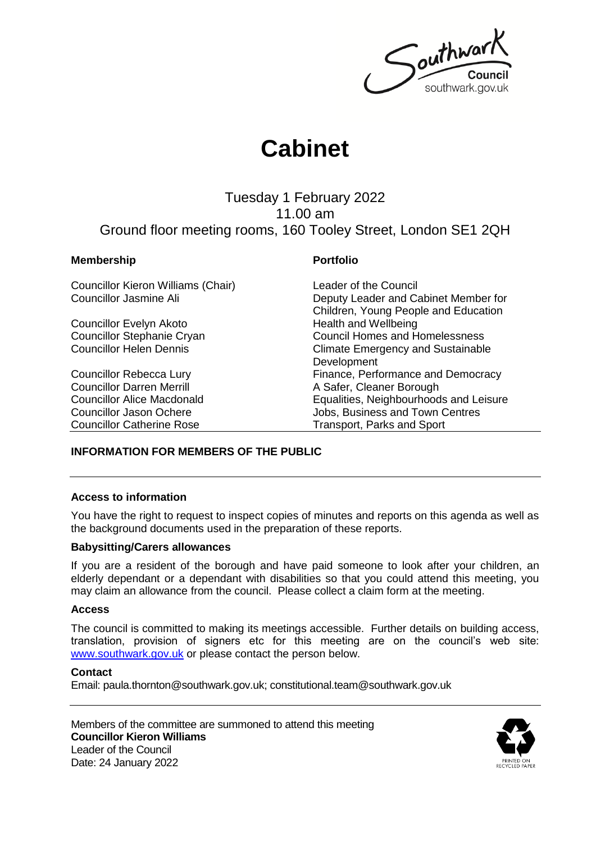Southwar southwark.gov.uk

# **Cabinet**

### Tuesday 1 February 2022 11.00 am Ground floor meeting rooms, 160 Tooley Street, London SE1 2QH

#### **Membership Portfolio**

| <b>Councillor Kieron Williams (Chair)</b> | Leader of the Council                    |
|-------------------------------------------|------------------------------------------|
| Councillor Jasmine Ali                    | Deputy Leader and Cabinet Member for     |
|                                           | Children, Young People and Education     |
| <b>Councillor Evelyn Akoto</b>            | Health and Wellbeing                     |
| <b>Councillor Stephanie Cryan</b>         | <b>Council Homes and Homelessness</b>    |
| <b>Councillor Helen Dennis</b>            | <b>Climate Emergency and Sustainable</b> |
|                                           | Development                              |
| <b>Councillor Rebecca Lury</b>            | Finance, Performance and Democracy       |
| <b>Councillor Darren Merrill</b>          | A Safer, Cleaner Borough                 |
| <b>Councillor Alice Macdonald</b>         | Equalities, Neighbourhoods and Leisure   |
| <b>Councillor Jason Ochere</b>            | Jobs, Business and Town Centres          |
| <b>Councillor Catherine Rose</b>          | <b>Transport, Parks and Sport</b>        |

#### **INFORMATION FOR MEMBERS OF THE PUBLIC**

#### **Access to information**

You have the right to request to inspect copies of minutes and reports on this agenda as well as the background documents used in the preparation of these reports.

#### **Babysitting/Carers allowances**

If you are a resident of the borough and have paid someone to look after your children, an elderly dependant or a dependant with disabilities so that you could attend this meeting, you may claim an allowance from the council. Please collect a claim form at the meeting.

#### **Access**

The council is committed to making its meetings accessible. Further details on building access, translation, provision of signers etc for this meeting are on the council's web site: [www.southwark.gov.uk](http://www.southwark.gov.uk/Public/Home.aspx) or please contact the person below.

#### **Contact**

Email: paula.thornton@southwark.gov.uk; constitutional.team@southwark.gov.uk

Members of the committee are summoned to attend this meeting **Councillor Kieron Williams** Leader of the Council Date: 24 January 2022

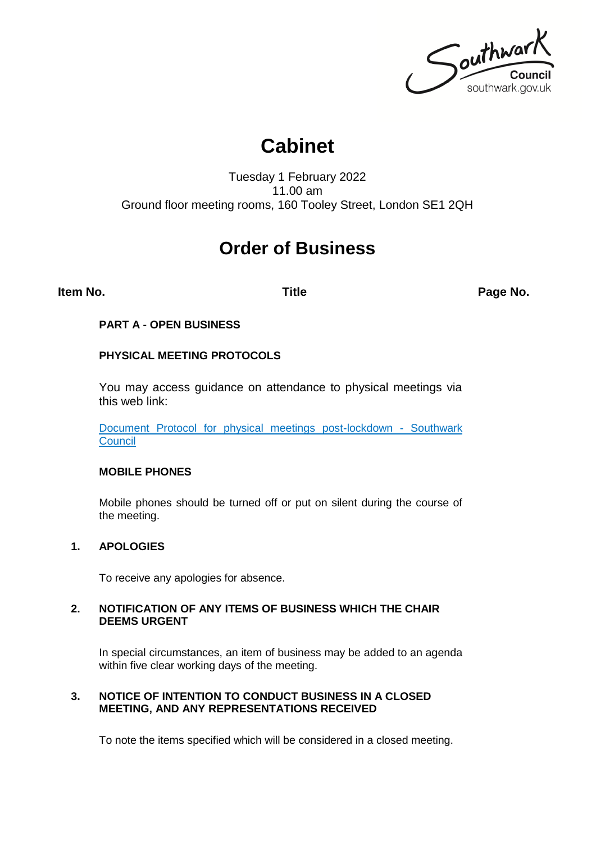Southwark southwark.gov.uk

## **Cabinet**

Tuesday 1 February 2022 11.00 am Ground floor meeting rooms, 160 Tooley Street, London SE1 2QH

## **Order of Business**

**Item No. Title Page No.**

#### **PART A - OPEN BUSINESS**

#### **PHYSICAL MEETING PROTOCOLS**

You may access guidance on attendance to physical meetings via this web link:

[Document Protocol for physical meetings post-lockdown -](https://moderngov.southwark.gov.uk/ecSDDisplay.aspx?NAME=SD1046&ID=1046&RPID=2408940&sch=doc&cat=13184&path=13184) Southwark **[Council](https://moderngov.southwark.gov.uk/ecSDDisplay.aspx?NAME=SD1046&ID=1046&RPID=2408940&sch=doc&cat=13184&path=13184)** 

#### **MOBILE PHONES**

Mobile phones should be turned off or put on silent during the course of the meeting.

#### **1. APOLOGIES**

To receive any apologies for absence.

#### **2. NOTIFICATION OF ANY ITEMS OF BUSINESS WHICH THE CHAIR DEEMS URGENT**

In special circumstances, an item of business may be added to an agenda within five clear working days of the meeting.

#### **3. NOTICE OF INTENTION TO CONDUCT BUSINESS IN A CLOSED MEETING, AND ANY REPRESENTATIONS RECEIVED**

To note the items specified which will be considered in a closed meeting.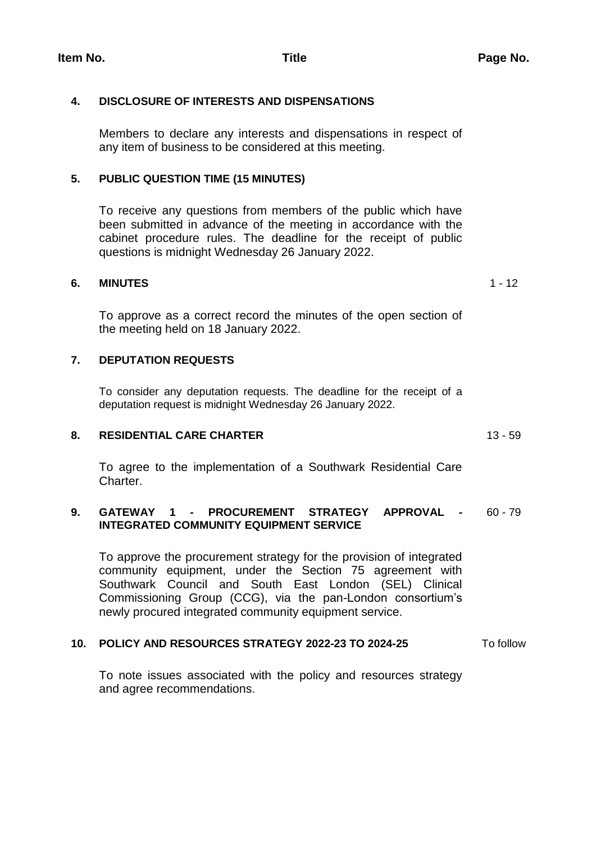#### **4. DISCLOSURE OF INTERESTS AND DISPENSATIONS**

Members to declare any interests and dispensations in respect of any item of business to be considered at this meeting.

#### **5. PUBLIC QUESTION TIME (15 MINUTES)**

To receive any questions from members of the public which have been submitted in advance of the meeting in accordance with the cabinet procedure rules. The deadline for the receipt of public questions is midnight Wednesday 26 January 2022.

### **6. MINUTES** 1 - 12

To approve as a correct record the minutes of the open section of the meeting held on 18 January 2022.

#### **7. DEPUTATION REQUESTS**

To consider any deputation requests. The deadline for the receipt of a deputation request is midnight Wednesday 26 January 2022.

#### **8. RESIDENTIAL CARE CHARTER** 13 - 59

To agree to the implementation of a Southwark Residential Care Charter.

#### **9. GATEWAY 1 - PROCUREMENT STRATEGY APPROVAL -** 60 - 79 **INTEGRATED COMMUNITY EQUIPMENT SERVICE**

To approve the procurement strategy for the provision of integrated community equipment, under the Section 75 agreement with Southwark Council and South East London (SEL) Clinical Commissioning Group (CCG), via the pan-London consortium's newly procured integrated community equipment service.

#### **10. POLICY AND RESOURCES STRATEGY 2022-23 TO 2024-25** To follow

To note issues associated with the policy and resources strategy and agree recommendations.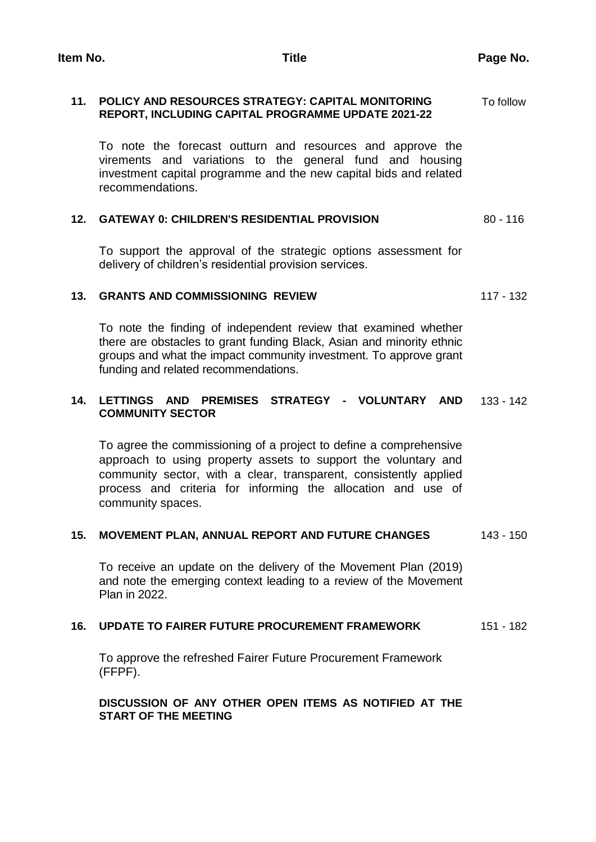#### **11. POLICY AND RESOURCES STRATEGY: CAPITAL MONITORING REPORT, INCLUDING CAPITAL PROGRAMME UPDATE 2021-22** To follow

To note the forecast outturn and resources and approve the virements and variations to the general fund and housing investment capital programme and the new capital bids and related recommendations.

#### **12. GATEWAY 0: CHILDREN'S RESIDENTIAL PROVISION 80 - 116**

To support the approval of the strategic options assessment for delivery of children's residential provision services.

### **13. GRANTS AND COMMISSIONING REVIEW** 117 - 132

To note the finding of independent review that examined whether there are obstacles to grant funding Black, Asian and minority ethnic groups and what the impact community investment. To approve grant funding and related recommendations.

#### **14. LETTINGS AND PREMISES STRATEGY - VOLUNTARY AND**  133 - 142 **COMMUNITY SECTOR**

To agree the commissioning of a project to define a comprehensive approach to using property assets to support the voluntary and community sector, with a clear, transparent, consistently applied process and criteria for informing the allocation and use of community spaces.

#### **15. MOVEMENT PLAN, ANNUAL REPORT AND FUTURE CHANGES** 143 - 150

To receive an update on the delivery of the Movement Plan (2019) and note the emerging context leading to a review of the Movement Plan in 2022.

#### **16. UPDATE TO FAIRER FUTURE PROCUREMENT FRAMEWORK** 151 - 182

To approve the refreshed Fairer Future Procurement Framework (FFPF).

#### **DISCUSSION OF ANY OTHER OPEN ITEMS AS NOTIFIED AT THE START OF THE MEETING**